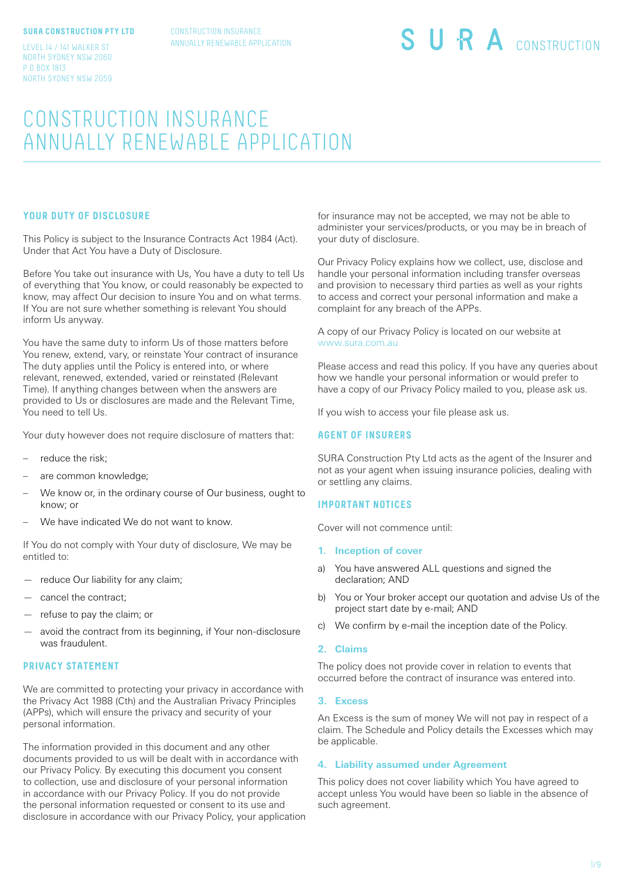#### **SURA CONSTRUCTION PTY LTD**

CONSTRUCTION INSURANCE ANNUALLY RENEWABLE APPLICATION

LEVEL 14 / 141 WALKER ST NORTH SYDNEY NSW 2060 P O BOX 1813 NORTH SYDNEY NSW 2059

# SURA CONSTRUCTION

# CONSTRUCTION INSURANCE ANNUALLY RENEWABLE APPLICATION

#### **YOUR DUTY OF DISCLOSURE**

This Policy is subject to the Insurance Contracts Act 1984 (Act). Under that Act You have a Duty of Disclosure.

Before You take out insurance with Us, You have a duty to tell Us of everything that You know, or could reasonably be expected to know, may affect Our decision to insure You and on what terms. If You are not sure whether something is relevant You should inform Us anyway.

You have the same duty to inform Us of those matters before You renew, extend, vary, or reinstate Your contract of insurance The duty applies until the Policy is entered into, or where relevant, renewed, extended, varied or reinstated (Relevant Time). If anything changes between when the answers are provided to Us or disclosures are made and the Relevant Time, You need to tell Us.

Your duty however does not require disclosure of matters that:

- reduce the risk;
- are common knowledge;
- We know or, in the ordinary course of Our business, ought to know; or
- We have indicated We do not want to know.

If You do not comply with Your duty of disclosure, We may be entitled to:

- reduce Our liability for any claim;
- cancel the contract;
- refuse to pay the claim; or
- avoid the contract from its beginning, if Your non-disclosure was fraudulent.

#### **PRIVACY STATEMENT**

We are committed to protecting your privacy in accordance with the Privacy Act 1988 (Cth) and the Australian Privacy Principles (APPs), which will ensure the privacy and security of your personal information.

The information provided in this document and any other documents provided to us will be dealt with in accordance with our Privacy Policy. By executing this document you consent to collection, use and disclosure of your personal information in accordance with our Privacy Policy. If you do not provide the personal information requested or consent to its use and disclosure in accordance with our Privacy Policy, your application for insurance may not be accepted, we may not be able to administer your services/products, or you may be in breach of your duty of disclosure.

Our Privacy Policy explains how we collect, use, disclose and handle your personal information including transfer overseas and provision to necessary third parties as well as your rights to access and correct your personal information and make a complaint for any breach of the APPs.

A copy of our Privacy Policy is located on our website at www.sura.com.au

Please access and read this policy. If you have any queries about how we handle your personal information or would prefer to have a copy of our Privacy Policy mailed to you, please ask us.

If you wish to access your file please ask us.

#### **AGENT OF INSURERS**

SURA Construction Pty Ltd acts as the agent of the Insurer and not as your agent when issuing insurance policies, dealing with or settling any claims.

#### **IMPORTANT NOTICES**

Cover will not commence until:

- **1. Inception of cover**
- a) You have answered ALL questions and signed the declaration; AND
- b) You or Your broker accept our quotation and advise Us of the project start date by e-mail; AND
- c) We confirm by e-mail the inception date of the Policy.

#### **2. Claims**

The policy does not provide cover in relation to events that occurred before the contract of insurance was entered into.

#### **3. Excess**

An Excess is the sum of money We will not pay in respect of a claim. The Schedule and Policy details the Excesses which may be applicable.

#### **4. Liability assumed under Agreement**

This policy does not cover liability which You have agreed to accept unless You would have been so liable in the absence of such agreement.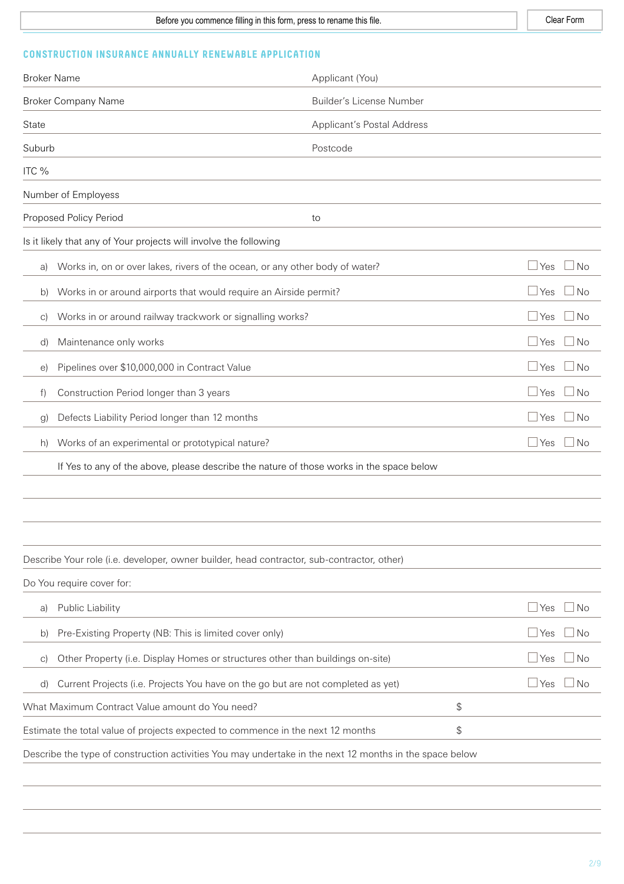# **CONSTRUCTION INSURANCE ANNUALLY RENEWABLE APPLICATION**

| <b>Broker Name</b>                                                                    |                                                                                                         | Applicant (You)                   |    |              |           |
|---------------------------------------------------------------------------------------|---------------------------------------------------------------------------------------------------------|-----------------------------------|----|--------------|-----------|
|                                                                                       | <b>Broker Company Name</b>                                                                              | <b>Builder's License Number</b>   |    |              |           |
| State                                                                                 |                                                                                                         | <b>Applicant's Postal Address</b> |    |              |           |
| Suburb                                                                                |                                                                                                         | Postcode                          |    |              |           |
| ITC %                                                                                 |                                                                                                         |                                   |    |              |           |
|                                                                                       | Number of Employess                                                                                     |                                   |    |              |           |
|                                                                                       | Proposed Policy Period                                                                                  | to                                |    |              |           |
|                                                                                       | Is it likely that any of Your projects will involve the following                                       |                                   |    |              |           |
| a)                                                                                    | Works in, on or over lakes, rivers of the ocean, or any other body of water?                            |                                   |    | $\Box$ Yes   | $\Box$ No |
| b)                                                                                    | Works in or around airports that would require an Airside permit?                                       |                                   |    | $\Box$ Yes   | $\Box$ No |
| $\vert$ C)                                                                            | Works in or around railway trackwork or signalling works?                                               |                                   |    | $\Box$ Yes   | $\Box$ No |
| d)                                                                                    | Maintenance only works                                                                                  |                                   |    | $\Box$ Yes   | $\Box$ No |
| $\Theta$ )                                                                            | Pipelines over \$10,000,000 in Contract Value                                                           |                                   |    | $\Box$ Yes   | $\Box$ No |
| f)                                                                                    | Construction Period longer than 3 years                                                                 |                                   |    | $\Box$ Yes   | $\Box$ No |
| g)                                                                                    | Defects Liability Period longer than 12 months                                                          |                                   |    | $\Box$ Yes   | $\Box$ No |
| h)                                                                                    | Works of an experimental or prototypical nature?                                                        |                                   |    | $\Box$ Yes   | $\Box$ No |
|                                                                                       | If Yes to any of the above, please describe the nature of those works in the space below                |                                   |    |              |           |
|                                                                                       |                                                                                                         |                                   |    |              |           |
|                                                                                       |                                                                                                         |                                   |    |              |           |
|                                                                                       |                                                                                                         |                                   |    |              |           |
|                                                                                       | Describe Your role (i.e. developer, owner builder, head contractor, sub-contractor, other)              |                                   |    |              |           |
|                                                                                       | Do You require cover for:                                                                               |                                   |    |              |           |
| a)                                                                                    | Public Liability                                                                                        |                                   |    | $\sqcup$ Yes | No        |
| b)                                                                                    | Pre-Existing Property (NB: This is limited cover only)                                                  |                                   |    | $\sqcup$ Yes | No        |
| $\vert$ C)                                                                            | Other Property (i.e. Display Homes or structures other than buildings on-site)                          |                                   |    | ⊿ Yes        | No        |
| d)                                                                                    | Current Projects (i.e. Projects You have on the go but are not completed as yet)                        |                                   |    | $\sqcup$ Yes | <b>No</b> |
|                                                                                       | What Maximum Contract Value amount do You need?                                                         |                                   | \$ |              |           |
| \$<br>Estimate the total value of projects expected to commence in the next 12 months |                                                                                                         |                                   |    |              |           |
|                                                                                       | Describe the type of construction activities You may undertake in the next 12 months in the space below |                                   |    |              |           |
|                                                                                       |                                                                                                         |                                   |    |              |           |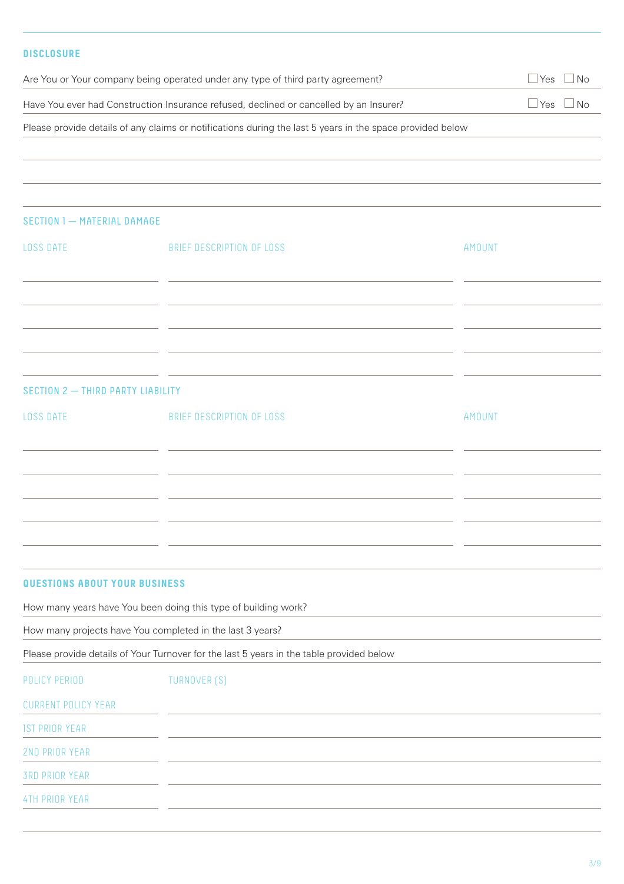| <b>DISCLOSURE</b>                                                                                         |                                      |
|-----------------------------------------------------------------------------------------------------------|--------------------------------------|
| Are You or Your company being operated under any type of third party agreement?                           | Yes<br>$\Box$ No                     |
| Have You ever had Construction Insurance refused, declined or cancelled by an Insurer?                    | $\overline{\text{No}}$<br><b>Yes</b> |
| Please provide details of any claims or notifications during the last 5 years in the space provided below |                                      |
|                                                                                                           |                                      |
|                                                                                                           |                                      |
|                                                                                                           |                                      |

| <b>LOSS DATE</b>                  | BRIEF DESCRIPTION OF LOSS                                  | <b>AMOUNT</b> |
|-----------------------------------|------------------------------------------------------------|---------------|
|                                   |                                                            |               |
|                                   |                                                            |               |
|                                   | <u> 1989 - Johann Stoff, amerikansk politiker (* 1908)</u> |               |
| <b>LOSS DATE</b>                  | BRIEF DESCRIPTION OF LOSS                                  | <b>AMOUNT</b> |
|                                   |                                                            |               |
|                                   |                                                            |               |
|                                   |                                                            |               |
| SECTION 2 - THIRD PARTY LIABILITY |                                                            |               |

## **QUESTIONS ABOUT YOUR BUSINESS**

SECTION 1 - MATERIAL DAMAGE

How many years have You been doing this type of building work?

How many projects have You completed in the last 3 years?

Please provide details of Your Turnover for the last 5 years in the table provided below

| POLICY PERIOD              | TURNOVER (S) |
|----------------------------|--------------|
| <b>CURRENT POLICY YEAR</b> |              |
| <b>IST PRIOR YEAR</b>      |              |
| 2ND PRIOR YEAR             |              |
| <b>3RD PRIOR YEAR</b>      |              |
| <b>4TH PRIOR YEAR</b>      |              |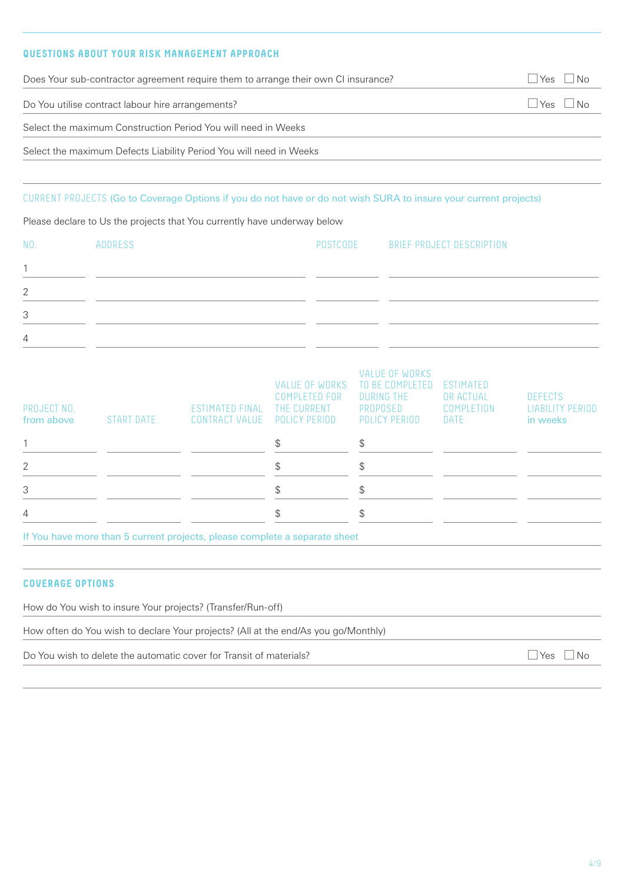# **QUESTIONS ABOUT YOUR RISK MANAGEMENT APPROACH**

|                           |                                                   | Does Your sub-contractor agreement require them to arrange their own CI insurance?                                                                                                           |                                                                               |                                                                                            |                                              | Yes<br><b>No</b>                                      |  |
|---------------------------|---------------------------------------------------|----------------------------------------------------------------------------------------------------------------------------------------------------------------------------------------------|-------------------------------------------------------------------------------|--------------------------------------------------------------------------------------------|----------------------------------------------|-------------------------------------------------------|--|
|                           | Do You utilise contract labour hire arrangements? |                                                                                                                                                                                              |                                                                               |                                                                                            |                                              |                                                       |  |
|                           |                                                   | Select the maximum Construction Period You will need in Weeks                                                                                                                                |                                                                               |                                                                                            |                                              |                                                       |  |
|                           |                                                   | Select the maximum Defects Liability Period You will need in Weeks                                                                                                                           |                                                                               |                                                                                            |                                              |                                                       |  |
|                           |                                                   | CURRENT PROJECTS (Go to Coverage Options if you do not have or do not wish SURA to insure your current projects)<br>Please declare to Us the projects that You currently have underway below |                                                                               |                                                                                            |                                              |                                                       |  |
| NO.                       | <b>ADDRESS</b>                                    |                                                                                                                                                                                              | POSTCODE                                                                      |                                                                                            | BRIEF PROJECT DESCRIPTION                    |                                                       |  |
| 1                         |                                                   |                                                                                                                                                                                              |                                                                               |                                                                                            |                                              |                                                       |  |
| 2                         |                                                   |                                                                                                                                                                                              |                                                                               |                                                                                            |                                              |                                                       |  |
| 3                         |                                                   |                                                                                                                                                                                              |                                                                               |                                                                                            |                                              |                                                       |  |
| 4                         |                                                   |                                                                                                                                                                                              |                                                                               |                                                                                            |                                              |                                                       |  |
| PROJECT NO.<br>from above | <b>START DATE</b>                                 | <b>ESTIMATED FINAL</b><br><b>CONTRACT VALUE</b>                                                                                                                                              | <b>VALUE OF WORKS</b><br><b>COMPLETED FOR</b><br>THE CURRENT<br>POLICY PERIOD | <b>VALUE OF WORKS</b><br>TO BE COMPLETED<br><b>DURING THE</b><br>PROPOSED<br>POLICY PERIOD | ESTIMATED<br>OR ACTUAL<br>COMPLETION<br>DATE | <b>DEFECTS</b><br><b>LIABILITY PERIOD</b><br>in weeks |  |
| 1                         |                                                   |                                                                                                                                                                                              | \$                                                                            | \$                                                                                         |                                              |                                                       |  |
| 2                         |                                                   |                                                                                                                                                                                              | \$                                                                            | $\mathfrak{P}$                                                                             |                                              |                                                       |  |
| 3                         |                                                   |                                                                                                                                                                                              | \$                                                                            | \$                                                                                         |                                              |                                                       |  |

If You have more than 5 current projects, please complete a separate sheet

4  $\frac{1}{3}$  \$

## **COVERAGE OPTIONS**

How do You wish to insure Your projects? (Transfer/Run-off)

How often do You wish to declare Your projects? (All at the end/As you go/Monthly)

Do You wish to delete the automatic cover for Transit of materials?<br>  $\Box$  Yes  $\Box$  No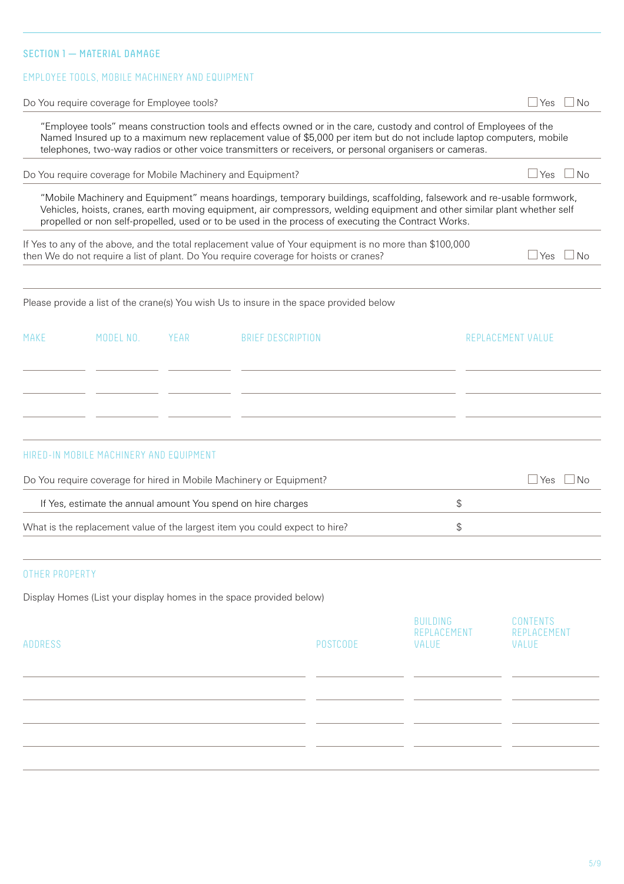# SECTION 1 - MATERIAL DAMAGE

#### EMPLOYEE TOOLS, MOBILE MACHINERY AND EQUIPMENT

Do You require coverage for Employee tools?  $\Box$  Yes  $\Box$  No

"Employee tools" means construction tools and effects owned or in the care, custody and control of Employees of the Named Insured up to a maximum new replacement value of \$5,000 per item but do not include laptop computers, mobile telephones, two-way radios or other voice transmitters or receivers, or personal organisers or cameras.

Do You require coverage for Mobile Machinery and Equipment?  $\Box$  Yes  $\Box$  Yes  $\Box$  No

"Mobile Machinery and Equipment" means hoardings, temporary buildings, scaffolding, falsework and re-usable formwork, Vehicles, hoists, cranes, earth moving equipment, air compressors, welding equipment and other similar plant whether self propelled or non self-propelled, used or to be used in the process of executing the Contract Works.

If Yes to any of the above, and the total replacement value of Your equipment is no more than \$100,000 then We do not require a list of plant. Do You require coverage for hoists or cranes?  $\Box$  Yes  $\Box$  Yes  $\Box$  No

#### Please provide a list of the crane(s) You wish Us to insure in the space provided below

| MAKE | MODEL NO. YEAR | <b>BRIEF DESCRIPTION</b> | REPLACEMENT VALUE |
|------|----------------|--------------------------|-------------------|
|      |                |                          |                   |
|      |                |                          |                   |
|      |                |                          |                   |
|      |                |                          |                   |

#### HIRED-IN MOBILE MACHINERY AND EQUIPMENT

| Do You require coverage for hired in Mobile Machinery or Equipment?         |  |  |
|-----------------------------------------------------------------------------|--|--|
| If Yes, estimate the annual amount You spend on hire charges                |  |  |
| What is the replacement value of the largest item you could expect to hire? |  |  |

#### OTHER PROPERTY

Display Homes (List your display homes in the space provided below)

| ADDRESS | POSTCODE | BUILDING<br>REPLACEMENT<br>VALUE | CONTENTS<br>REPLACEMENT<br>VALUE |
|---------|----------|----------------------------------|----------------------------------|
|         |          |                                  |                                  |
|         |          |                                  |                                  |
|         |          |                                  |                                  |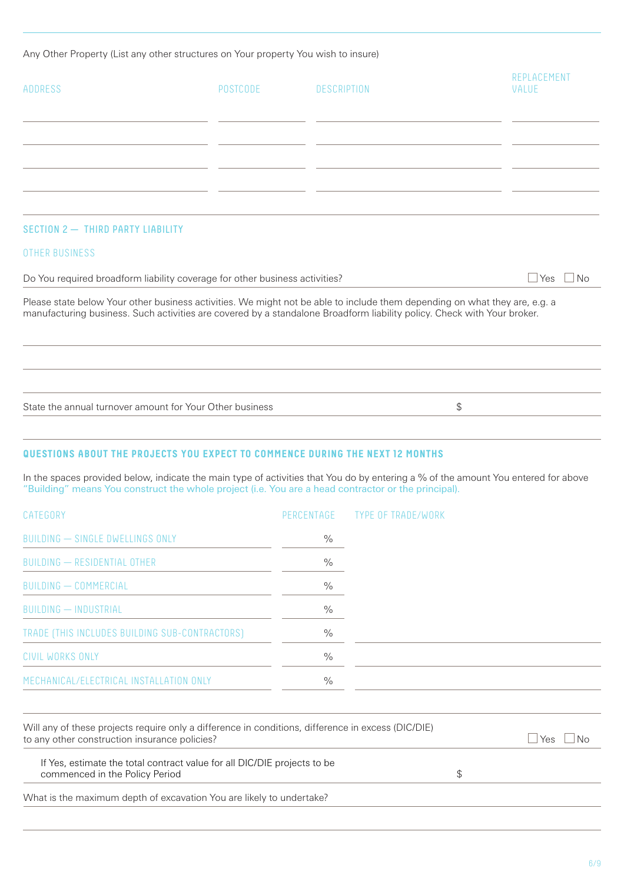Any Other Property (List any other structures on Your property You wish to insure)

| ADDRESS                                                                                                                                                                                                                                                                                                                              | POSTCODE | DESCRIPTION | REPLACEMENT<br>VALUE |
|--------------------------------------------------------------------------------------------------------------------------------------------------------------------------------------------------------------------------------------------------------------------------------------------------------------------------------------|----------|-------------|----------------------|
|                                                                                                                                                                                                                                                                                                                                      |          |             |                      |
| SECTION 2 - THIRD PARTY LIABILITY                                                                                                                                                                                                                                                                                                    |          |             |                      |
| <b>OTHER BUSINESS</b>                                                                                                                                                                                                                                                                                                                |          |             | $\Box$ Yes $\Box$ No |
| Do You required broadform liability coverage for other business activities?<br>Please state below Your other business activities. We might not be able to include them depending on what they are, e.g. a<br>manufacturing business. Such activities are covered by a standalone Broadform liability policy. Check with Your broker. |          |             |                      |
|                                                                                                                                                                                                                                                                                                                                      |          |             |                      |
| State the annual turnover amount for Your Other business                                                                                                                                                                                                                                                                             |          |             | \$                   |

# **QUESTIONS ABOUT THE PROJECTS YOU EXPECT TO COMMENCE DURING THE NEXT 12 MONTHS**

In the spaces provided below, indicate the main type of activities that You do by entering a % of the amount You entered for above "Building" means You construct the whole project (i.e. You are a head contractor or the principal).

| CATEGORY                                       |               | PERCENTAGE TYPE OF TRADE/WORK |
|------------------------------------------------|---------------|-------------------------------|
| <b>BUILDING - SINGLE DWELLINGS ONLY</b>        | $\frac{0}{0}$ |                               |
| BUILDING - RESIDENTIAL OTHER                   | $\frac{0}{0}$ |                               |
| <b>BUILDING - COMMERCIAL</b>                   | $\%$          |                               |
| <b>BUILDING - INDUSTRIAL</b>                   | $\%$          |                               |
| TRADE (THIS INCLUDES BUILDING SUB-CONTRACTORS) | $\frac{0}{0}$ |                               |
| <b>CIVIL WORKS ONLY</b>                        | $\frac{0}{0}$ |                               |
| MECHANICAL/ELECTRICAL INSTALLATION ONLY        | $\frac{0}{0}$ |                               |

| Will any of these projects require only a difference in conditions, difference in excess (DIC/DIE)<br>to any other construction insurance policies? | ∣No<br>Yes |  |
|-----------------------------------------------------------------------------------------------------------------------------------------------------|------------|--|
| If Yes, estimate the total contract value for all DIC/DIE projects to be<br>commenced in the Policy Period                                          |            |  |
| What is the maximum depth of excavation You are likely to undertake?                                                                                |            |  |
|                                                                                                                                                     |            |  |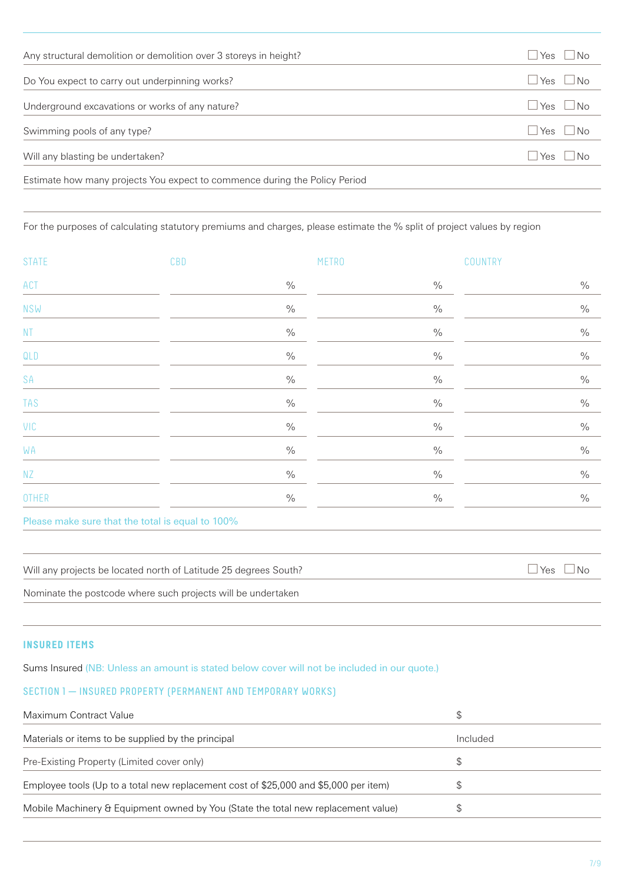| Any structural demolition or demolition over 3 storeys in height?          | INo<br>⊿ Yes               |
|----------------------------------------------------------------------------|----------------------------|
| Do You expect to carry out underpinning works?                             | $\Box$ Yes $\Box$ No       |
| Underground excavations or works of any nature?                            | $\sqcup$ Yes $\;\sqcup$ No |
| Swimming pools of any type?                                                | $\sqcup$ Yes $\;\sqcup$ No |
| Will any blasting be undertaken?                                           | $\sqcup$ Yes $\;\sqcup$ No |
| Estimate how many projects You expect to commence during the Policy Period |                            |

For the purposes of calculating statutory premiums and charges, please estimate the % split of project values by region

| <b>STATE</b>  | CBD                                              |      | <b>METRO</b> | COUNTRY |
|---------------|--------------------------------------------------|------|--------------|---------|
| ACT           |                                                  | $\%$ | $\%$         | $\%$    |
| <b>NSW</b>    |                                                  | $\%$ | $\%$         | $\%$    |
| $\mathsf{NT}$ |                                                  | $\%$ | $\%$         | $\%$    |
| QLD           |                                                  | $\%$ | $\%$         | $\%$    |
| SA            |                                                  | $\%$ | $\%$         | $\%$    |
| <b>TAS</b>    |                                                  | $\%$ | $\%$         | $\%$    |
| VIC           |                                                  | $\%$ | $\%$         | $\%$    |
| WA            |                                                  | $\%$ | $\%$         | $\%$    |
| NZ            |                                                  | $\%$ | $\%$         | $\%$    |
| OTHER         |                                                  | $\%$ | $\%$         | $\%$    |
|               | Please make sure that the total is equal to 100% |      |              |         |

Will any projects be located north of Latitude 25 degrees South?<br>  $\Box$  Yes  $\Box$  No

Nominate the postcode where such projects will be undertaken

#### **INSURED ITEMS**

Sums Insured (NB: Unless an amount is stated below cover will not be included in our quote.)

# SECTION 1 - INSURED PROPERTY (PERMANENT AND TEMPORARY WORKS)

| Maximum Contract Value                                                               | £.       |
|--------------------------------------------------------------------------------------|----------|
| Materials or items to be supplied by the principal                                   | Included |
| Pre-Existing Property (Limited cover only)                                           | S        |
| Employee tools (Up to a total new replacement cost of \$25,000 and \$5,000 per item) |          |
| Mobile Machinery & Equipment owned by You (State the total new replacement value)    |          |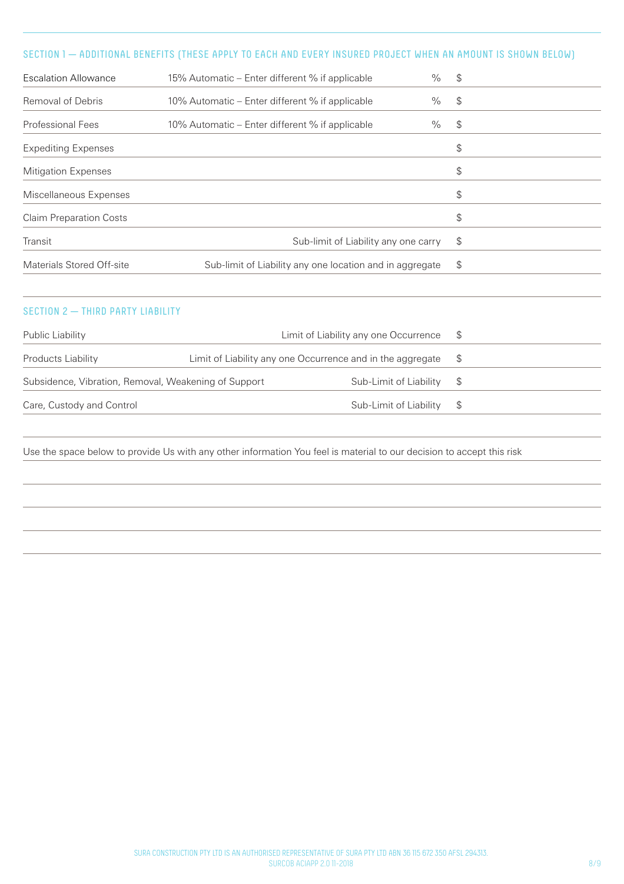# SECTION 1 — ADDITIONAL BENEFITS (THESE APPLY TO EACH AND EVERY INSURED PROJECT WHEN AN AMOUNT IS SHOWN BELOW)

| <b>Escalation Allowance</b>    | $\%$<br>15% Automatic – Enter different % if applicable  | $\boldsymbol{\theta}$ |
|--------------------------------|----------------------------------------------------------|-----------------------|
| Removal of Debris              | $\%$<br>10% Automatic – Enter different % if applicable  | \$                    |
| Professional Fees              | $\%$<br>10% Automatic – Enter different % if applicable  | $\mathcal{S}$         |
| <b>Expediting Expenses</b>     |                                                          | \$                    |
| <b>Mitigation Expenses</b>     |                                                          | \$                    |
| Miscellaneous Expenses         |                                                          | \$                    |
| <b>Claim Preparation Costs</b> |                                                          | \$                    |
| Transit                        | Sub-limit of Liability any one carry                     | \$                    |
| Materials Stored Off-site      | Sub-limit of Liability any one location and in aggregate | \$                    |

# SECTION 2 - THIRD PARTY LIABILITY

| Subsidence, Vibration, Removal, Weakening of Support |  |                                                                                                                                                                       |
|------------------------------------------------------|--|-----------------------------------------------------------------------------------------------------------------------------------------------------------------------|
|                                                      |  |                                                                                                                                                                       |
|                                                      |  | Limit of Liability any one Occurrence \$<br>Limit of Liability any one Occurrence and in the aggregate $\$$<br>Sub-Limit of Liability \$<br>Sub-Limit of Liability \$ |

Use the space below to provide Us with any other information You feel is material to our decision to accept this risk